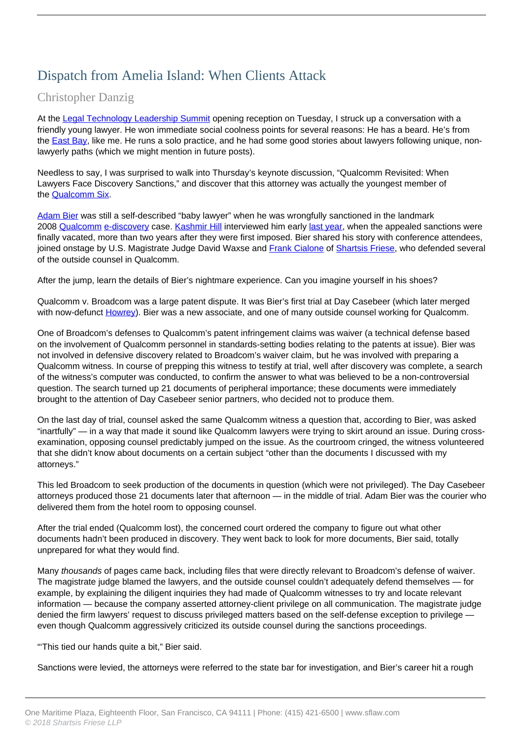## Dispatch from Amelia Island: When Clients Attack

## Christopher Danzig

At the [Legal Technology Leadership Summit](http://legaltechnology2011.com/) opening reception on Tuesday, I struck up a conversation with a friendly young lawyer. He won immediate social coolness points for several reasons: He has a beard. He's from the East Bay, like me. He runs a solo practice, and he had some good stories about lawyers following unique, nonlawyerly paths (which we might mention in future posts).

Needless to say, I was surprised to walk into Thursday's keynote discussion, "Qualcomm Revisited: When Lawyers Face Discovery Sanctions," and discover that this attorney was actually the youngest member of the Qualcomm Six.

Adam Bier was still a self-described "baby lawyer" when he was wrongfully sanctioned in the landmark 2008 Qualcomm e-discovery case. Kashmir Hill interviewed him early last year, when the appealed sanctions were finally vacated, more than two years after they were first imposed. Bier shared his story with conference attendees, joined onstage by U.S. Magistrate Judge David Waxse and Frank Cialone of Shartsis Friese, who defended several of the outside counsel in Qualcomm.

After the jump, learn the details of Bier's nightmare experience. Can you imagine yourself in his shoes?

Qualcomm v. Broadcom was a large patent dispute. It was Bier's first trial at Day Casebeer (which later merged with now-defunct Howrey). Bier was a new associate, and one of many outside counsel working for Qualcomm.

One of Broadcom's defenses to Qualcomm's patent infringement claims was waiver (a technical defense based on the involvement of Qualcomm personnel in standards-setting bodies relating to the patents at issue). Bier was not involved in defensive discovery related to Broadcom's waiver claim, but he was involved with preparing a Qualcomm witness. In course of prepping this witness to testify at trial, well after discovery was complete, a search of the witness's computer was conducted, to confirm the answer to what was believed to be a non-controversial question. The search turned up 21 documents of peripheral importance; these documents were immediately brought to the attention of Day Casebeer senior partners, who decided not to produce them.

On the last day of trial, counsel asked the same Qualcomm witness a question that, according to Bier, was asked "inartfully" — in a way that made it sound like Qualcomm lawyers were trying to skirt around an issue. During crossexamination, opposing counsel predictably jumped on the issue. As the courtroom cringed, the witness volunteered that she didn't know about documents on a certain subject "other than the documents I discussed with my attorneys."

This led Broadcom to seek production of the documents in question (which were not privileged). The Day Casebeer attorneys produced those 21 documents later that afternoon — in the middle of trial. Adam Bier was the courier who delivered them from the hotel room to opposing counsel.

After the trial ended (Qualcomm lost), the concerned court ordered the company to figure out what other documents hadn't been produced in discovery. They went back to look for more documents, Bier said, totally unprepared for what they would find.

Many thousands of pages came back, including files that were directly relevant to Broadcom's defense of waiver. The magistrate judge blamed the lawyers, and the outside counsel couldn't adequately defend themselves — for example, by explaining the diligent inquiries they had made of Qualcomm witnesses to try and locate relevant information — because the company asserted attorney-client privilege on all communication. The magistrate judge denied the firm lawyers' request to discuss privileged matters based on the self-defense exception to privilege  $$ even though Qualcomm aggressively criticized its outside counsel during the sanctions proceedings.

"'This tied our hands quite a bit," Bier said.

Sanctions were levied, the attorneys were referred to the state bar for investigation, and Bier's career hit a rough